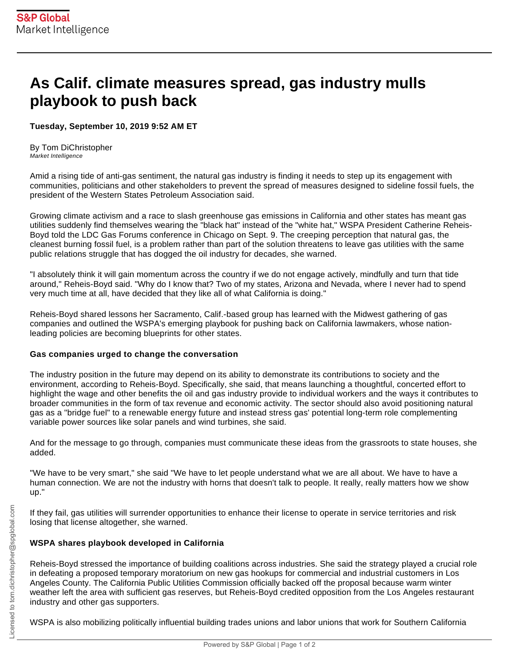## **As Calif. climate measures spread, gas industry mulls playbook to push back**

## **Tuesday, September 10, 2019 9:52 AM ET**

By Tom DiChristopher Market Intelligence

Amid a rising tide of anti-gas sentiment, the natural gas industry is finding it needs to step up its engagement with communities, politicians and other stakeholders to prevent the spread of measures designed to sideline fossil fuels, the president of the Western States Petroleum Association said.

Growing climate activism and a race to slash greenhouse gas emissions in California and other states has meant gas utilities suddenly find themselves wearing the "black hat" instead of the "white hat," WSPA President Catherine Reheis-Boyd told the LDC Gas Forums conference in Chicago on Sept. 9. The creeping perception that natural gas, the cleanest burning fossil fuel, is a problem rather than part of the solution threatens to leave gas utilities with the same public relations struggle that has dogged the oil industry for decades, she warned.

"I absolutely think it will gain momentum across the country if we do not engage actively, mindfully and turn that tide around," Reheis-Boyd said. "Why do I know that? Two of my states, Arizona and Nevada, where I never had to spend very much time at all, have decided that they like all of what California is doing."

Reheis-Boyd shared lessons her Sacramento, Calif.-based group has learned with the Midwest gathering of gas companies and outlined the WSPA's emerging playbook for pushing back on California lawmakers, whose nationleading policies are becoming blueprints for other states.

## **Gas companies urged to change the conversation**

The industry position in the future may depend on its ability to demonstrate its contributions to society and the environment, according to Reheis-Boyd. Specifically, she said, that means launching a thoughtful, concerted effort to highlight the wage and other benefits the oil and gas industry provide to individual workers and the ways it contributes to broader communities in the form of tax revenue and economic activity. The sector should also avoid positioning natural gas as a "bridge fuel" to a renewable energy future and instead stress gas' potential long-term role complementing variable power sources like solar panels and wind turbines, she said.

And for the message to go through, companies must communicate these ideas from the grassroots to state houses, she added.

"We have to be very smart," she said "We have to let people understand what we are all about. We have to have a human connection. We are not the industry with horns that doesn't talk to people. It really, really matters how we show up."

If they fail, gas utilities will surrender opportunities to enhance their license to operate in service territories and risk losing that license altogether, she warned.

## **WSPA shares playbook developed in California**

Reheis-Boyd stressed the importance of building coalitions across industries. She said the strategy played a crucial role in defeating a proposed temporary moratorium on new gas hookups for commercial and industrial customers in Los Angeles County. The California Public Utilities Commission officially backed off the proposal because warm winter weather left the area with sufficient gas reserves, but Reheis-Boyd credited opposition from the Los Angeles restaurant industry and other gas supporters.

WSPA is also mobilizing politically influential building trades unions and labor unions that work for Southern California